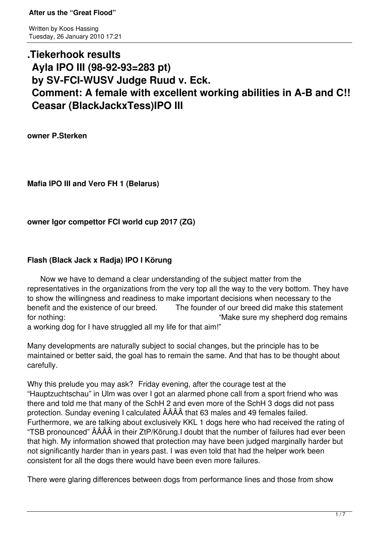Written by Koos Hassing Tuesday, 26 January 2010 17:21

# **.Tiekerhook results Ayla IPO III (98-92-93=283 pt) by SV-FCI-WUSV Judge Ruud v. Eck. Comment: A female with excellent working abilities in A-B and C!! Ceasar (BlackJackxTess)IPO III**

**owner P.Sterken**

**Mafia IPO III and Vero FH 1 (Belarus)**

**owner Igor compettor FCI world cup 2017 (ZG)**

## **Flash (Black Jack x Radja) IPO I Körung**

 Now we have to demand a clear understanding of the subject matter from the representatives in the organizations from the very top all the way to the very bottom. They have to show the willingness and readiness to make important decisions when necessary to the benefit and the existence of our breed. The founder of our breed did make this statem The founder of our breed did make this statement for nothing: "Make sure my shepherd dog remains a working dog for I have struggled all my life for that aim!"

Many developments are naturally subject to social changes, but the principle has to be maintained or better said, the goal has to remain the same. And that has to be thought about carefully.

Why this prelude you may ask? Friday evening, after the courage test at the "Hauptzuchtschau" in Ulm was over I got an alarmed phone call from a sport friend who was there and told me that many of the SchH 2 and even more of the SchH 3 dogs did not pass protection. Sunday evening I calculated ÂÂÂÂ that 63 males and 49 females failed. Furthermore, we are talking about exclusively KKL 1 dogs here who had received the rating of "TSB pronounced" ÂÂÂÂ in their ZtP/Körung.I doubt that the number of failures had ever been that high. My information showed that protection may have been judged marginally harder but not significantly harder than in years past. I was even told that had the helper work been consistent for all the dogs there would have been even more failures.

There were glaring differences between dogs from performance lines and those from show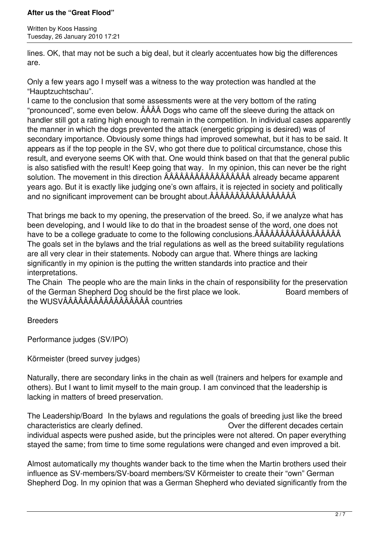Written by Koos Hassing Tuesday, 26 January 2010 17:21

lines. OK, that may not be such a big deal, but it clearly accentuates how big the differences are.

Only a few years ago I myself was a witness to the way protection was handled at the "Hauptzuchtschau".

I came to the conclusion that some assessments were at the very bottom of the rating "pronounced", some even below. ÂÂÂÂ Dogs who came off the sleeve during the attack on handler still got a rating high enough to remain in the competition. In individual cases apparently the manner in which the dogs prevented the attack (energetic gripping is desired) was of secondary importance. Obviously some things had improved somewhat, but it has to be said. It appears as if the top people in the SV, who got there due to political circumstance, chose this result, and everyone seems OK with that. One would think based on that that the general public is also satisfied with the result! Keep going that way. In my opinion, this can never be the right solution. The movement in this direction ÂÂÂÂÂÂÂÂÂÂÂÂÂÂÂÂÂ already became apparent years ago. But it is exactly like judging one's own affairs, it is rejected in society and politically and no significant improvement can be brought about.ÂÂÂÂÂÂÂÂÂÂÂÂÂÂÂÂÂ

That brings me back to my opening, the preservation of the breed. So, if we analyze what has been developing, and I would like to do that in the broadest sense of the word, one does not have to be a college graduate to come to the following conclusions.ÂÂÂÂÂÂÂÂÂÂÂÂÂÂÂÂÂ The goals set in the bylaws and the trial regulations as well as the breed suitability regulations are all very clear in their statements. Nobody can argue that. Where things are lacking significantly in my opinion is the putting the written standards into practice and their interpretations.

The Chain The people who are the main links in the chain of responsibility for the preservation of the German Shepherd Dog should be the first place we look. Board members of the WUSVÂÂÂÂÂÂÂÂÂÂÂÂÂÂÂÂÂ countries

Breeders

Performance judges (SV/IPO)

Körmeister (breed survey judges)

Naturally, there are secondary links in the chain as well (trainers and helpers for example and others). But I want to limit myself to the main group. I am convinced that the leadership is lacking in matters of breed preservation.

The Leadership/Board In the bylaws and regulations the goals of breeding just like the breed characteristics are clearly defined. Over the different decades certain individual aspects were pushed aside, but the principles were not altered. On paper everything stayed the same; from time to time some regulations were changed and even improved a bit.

Almost automatically my thoughts wander back to the time when the Martin brothers used their influence as SV-members/SV-board members/SV Körmeister to create their "own" German Shepherd Dog. In my opinion that was a German Shepherd who deviated significantly from the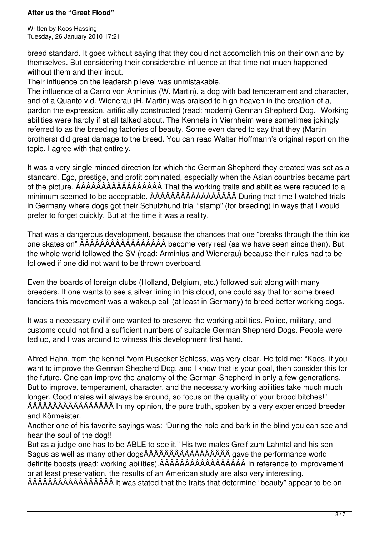Written by Koos Hassing Tuesday, 26 January 2010 17:21

breed standard. It goes without saying that they could not accomplish this on their own and by themselves. But considering their considerable influence at that time not much happened without them and their input.

Their influence on the leadership level was unmistakable.

The influence of a Canto von Arminius (W. Martin), a dog with bad temperament and character, and of a Quanto v.d. Wienerau (H. Martin) was praised to high heaven in the creation of a, pardon the expression, artificially constructed (read: modern) German Shepherd Dog. Working abilities were hardly if at all talked about. The Kennels in Viernheim were sometimes jokingly referred to as the breeding factories of beauty. Some even dared to say that they (Martin brothers) did great damage to the breed. You can read Walter Hoffmann's original report on the topic. I agree with that entirely.

It was a very single minded direction for which the German Shepherd they created was set as a standard. Ego, prestige, and profit dominated, especially when the Asian countries became part of the picture. ÂÂÂÂÂÂÂÂÂÂÂÂÂÂÂÂÂ That the working traits and abilities were reduced to a minimum seemed to be acceptable. ÂÂÂÂÂÂÂÂÂÂÂÂÂÂÂÂÂ During that time I watched trials in Germany where dogs got their Schutzhund trial "stamp" (for breeding) in ways that I would prefer to forget quickly. But at the time it was a reality.

That was a dangerous development, because the chances that one "breaks through the thin ice one skates on" ÂÂÂÂÂÂÂÂÂÂÂÂÂÂÂÂÂ become very real (as we have seen since then). But the whole world followed the SV (read: Arminius and Wienerau) because their rules had to be followed if one did not want to be thrown overboard.

Even the boards of foreign clubs (Holland, Belgium, etc.) followed suit along with many breeders. If one wants to see a silver lining in this cloud, one could say that for some breed fanciers this movement was a wakeup call (at least in Germany) to breed better working dogs.

It was a necessary evil if one wanted to preserve the working abilities. Police, military, and customs could not find a sufficient numbers of suitable German Shepherd Dogs. People were fed up, and I was around to witness this development first hand.

Alfred Hahn, from the kennel "vom Busecker Schloss, was very clear. He told me: "Koos, if you want to improve the German Shepherd Dog, and I know that is your goal, then consider this for the future. One can improve the anatomy of the German Shepherd in only a few generations. But to improve, temperament, character, and the necessary working abilities take much much longer. Good males will always be around, so focus on the quality of your brood bitches!" ÂÂÂÂÂÂÂÂÂÂÂÂÂÂÂÂÂ In my opinion, the pure truth, spoken by a very experienced breeder and Körmeister.

Another one of his favorite sayings was: "During the hold and bark in the blind you can see and hear the soul of the dog!!

But as a judge one has to be ABLE to see it." His two males Greif zum Lahntal and his son Sagus as well as many other dogsÂÂÂÂÂÂÂÂÂÂÂÂÂÂÂÂÂ gave the performance world definite boosts (read: working abilities).ÂÂÂÂÂÂÂÂÂÂÂÂÂÂÂÂÂ In reference to improvement or at least preservation, the results of an American study are also very interesting. ÂÂÂÂÂÂÂÂÂÂÂÂÂÂÂÂÂ It was stated that the traits that determine "beauty" appear to be on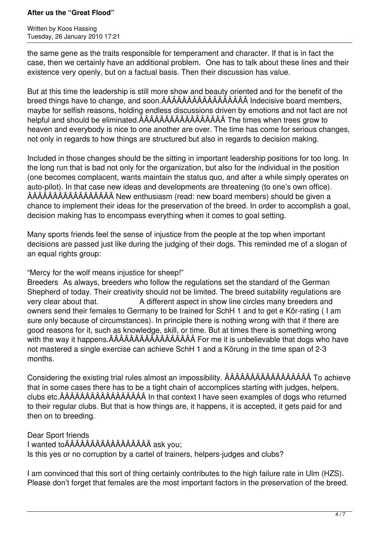Written by Koos Hassing Tuesday, 26 January 2010 17:21

the same gene as the traits responsible for temperament and character. If that is in fact the case, then we certainly have an additional problem. One has to talk about these lines and their existence very openly, but on a factual basis. Then their discussion has value.

But at this time the leadership is still more show and beauty oriented and for the benefit of the breed things have to change, and soon.ÂÂÂÂÂÂÂÂÂÂÂÂÂÂÂÂÂ Indecisive board members, maybe for selfish reasons, holding endless discussions driven by emotions and not fact are not helpful and should be eliminated.ÂÂÂÂÂÂÂÂÂÂÂÂÂÂÂÂÂ The times when trees grow to heaven and everybody is nice to one another are over. The time has come for serious changes, not only in regards to how things are structured but also in regards to decision making.

Included in those changes should be the sitting in important leadership positions for too long. In the long run that is bad not only for the organization, but also for the individual in the position (one becomes complacent, wants maintain the status quo, and after a while simply operates on auto-pilot). In that case new ideas and developments are threatening (to one's own office). ÂÂÂÂÂÂÂÂÂÂÂÂÂÂÂÂÂ New enthusiasm (read: new board members) should be given a chance to implement their ideas for the preservation of the breed. In order to accomplish a goal, decision making has to encompass everything when it comes to goal setting.

Many sports friends feel the sense of injustice from the people at the top when important decisions are passed just like during the judging of their dogs. This reminded me of a slogan of an equal rights group:

"Mercy for the wolf means injustice for sheep!"

Breeders As always, breeders who follow the regulations set the standard of the German Shepherd of today. Their creativity should not be limited. The breed suitability regulations are very clear about that. A different aspect in show line circles many breeders and owners send their females to Germany to be trained for SchH 1 and to get e Kör-rating ( I am sure only because of circumstances). In principle there is nothing wrong with that if there are good reasons for it, such as knowledge, skill, or time. But at times there is something wrong with the way it happens.ÂÂÂÂÂÂÂÂÂÂÂÂÂÂÂÂÂ For me it is unbelievable that dogs who have not mastered a single exercise can achieve SchH 1 and a Körung in the time span of 2-3 months.

Considering the existing trial rules almost an impossibility. ÂÂÂÂÂÂÂÂÂÂÂÂÂÂÂÂÂ To achieve that in some cases there has to be a tight chain of accomplices starting with judges, helpers, clubs etc.ÂÂÂÂÂÂÂÂÂÂÂÂÂÂÂÂÂ In that context I have seen examples of dogs who returned to their regular clubs. But that is how things are, it happens, it is accepted, it gets paid for and then on to breeding.

Dear Sport friends I wanted toÂÂÂÂÂÂÂÂÂÂÂÂÂÂÂÂÂ ask you; Is this yes or no corruption by a cartel of trainers, helpers-judges and clubs?

I am convinced that this sort of thing certainly contributes to the high failure rate in Ulm (HZS). Please don't forget that females are the most important factors in the preservation of the breed.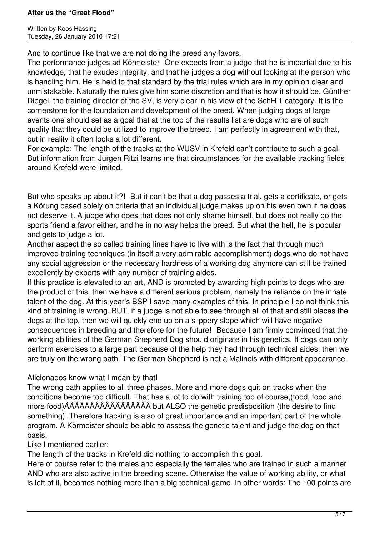Written by Koos Hassing Tuesday, 26 January 2010 17:21

And to continue like that we are not doing the breed any favors.

The performance judges ad Körmeister One expects from a judge that he is impartial due to his knowledge, that he exudes integrity, and that he judges a dog without looking at the person who is handling him. He is held to that standard by the trial rules which are in my opinion clear and unmistakable. Naturally the rules give him some discretion and that is how it should be. Günther Diegel, the training director of the SV, is very clear in his view of the SchH 1 category. It is the cornerstone for the foundation and development of the breed. When judging dogs at large events one should set as a goal that at the top of the results list are dogs who are of such quality that they could be utilized to improve the breed. I am perfectly in agreement with that, but in reality it often looks a lot different.

For example: The length of the tracks at the WUSV in Krefeld can't contribute to such a goal. But information from Jurgen Ritzi learns me that circumstances for the available tracking fields around Krefeld were limited.

But who speaks up about it?! But it can't be that a dog passes a trial, gets a certificate, or gets a Körung based solely on criteria that an individual judge makes up on his even own if he does not deserve it. A judge who does that does not only shame himself, but does not really do the sports friend a favor either, and he in no way helps the breed. But what the hell, he is popular and gets to judge a lot.

Another aspect the so called training lines have to live with is the fact that through much improved training techniques (in itself a very admirable accomplishment) dogs who do not have any social aggression or the necessary hardness of a working dog anymore can still be trained excellently by experts with any number of training aides.

If this practice is elevated to an art, AND is promoted by awarding high points to dogs who are the product of this, then we have a different serious problem, namely the reliance on the innate talent of the dog. At this year's BSP I save many examples of this. In principle I do not think this kind of training is wrong. BUT, if a judge is not able to see through all of that and still places the dogs at the top, then we will quickly end up on a slippery slope which will have negative consequences in breeding and therefore for the future! Because I am firmly convinced that the working abilities of the German Shepherd Dog should originate in his genetics. If dogs can only perform exercises to a large part because of the help they had through technical aides, then we are truly on the wrong path. The German Shepherd is not a Malinois with different appearance.

## Aficionados know what I mean by that!

The wrong path applies to all three phases. More and more dogs quit on tracks when the conditions become too difficult. That has a lot to do with training too of course,(food, food and more food)ÂÂÂÂÂÂÂÂÂÂÂÂÂÂÂÂÂ but ALSO the genetic predisposition (the desire to find something). Therefore tracking is also of great importance and an important part of the whole program. A Körmeister should be able to assess the genetic talent and judge the dog on that basis.

Like I mentioned earlier:

The length of the tracks in Krefeld did nothing to accomplish this goal.

Here of course refer to the males and especially the females who are trained in such a manner AND who are also active in the breeding scene. Otherwise the value of working ability, or what is left of it, becomes nothing more than a big technical game. In other words: The 100 points are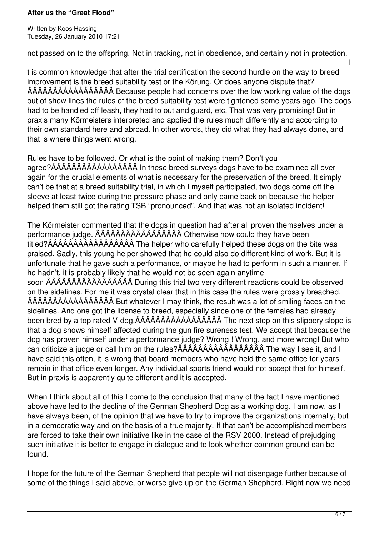Written by Koos Hassing Tuesday, 26 January 2010 17:21

not passed on to the offspring. Not in tracking, not in obedience, and certainly not in protection.

I t is common knowledge that after the trial certification the second hurdle on the way to breed improvement is the breed suitability test or the Körung. Or does anyone dispute that? ÂÂÂÂÂÂÂÂÂÂÂÂÂÂÂÂÂ Because people had concerns over the low working value of the dogs out of show lines the rules of the breed suitability test were tightened some years ago. The dogs had to be handled off leash, they had to out and guard, etc. That was very promising! But in praxis many Körmeisters interpreted and applied the rules much differently and according to their own standard here and abroad. In other words, they did what they had always done, and that is where things went wrong.

Rules have to be followed. Or what is the point of making them? Don't you agree?ÂÂÂÂÂÂÂÂÂÂÂÂÂÂÂÂÂ In these breed surveys dogs have to be examined all over again for the crucial elements of what is necessary for the preservation of the breed. It simply can't be that at a breed suitability trial, in which I myself participated, two dogs come off the sleeve at least twice during the pressure phase and only came back on because the helper helped them still got the rating TSB "pronounced". And that was not an isolated incident!

The Körmeister commented that the dogs in question had after all proven themselves under a performance judge. ÂÂÂÂÂÂÂÂÂÂÂÂÂÂÂÂÂ Otherwise how could they have been titled?ÂÂÂÂÂÂÂÂÂÂÂÂÂÂÂÂÂ The helper who carefully helped these dogs on the bite was praised. Sadly, this young helper showed that he could also do different kind of work. But it is unfortunate that he gave such a performance, or maybe he had to perform in such a manner. If he hadn't, it is probably likely that he would not be seen again anytime soon!ÂÂÂÂÂÂÂÂÂÂÂÂÂÂÂÂÂ During this trial two very different reactions could be observed on the sidelines. For me it was crystal clear that in this case the rules were grossly breached. ÂÂÂÂÂÂÂÂÂÂÂÂÂÂÂÂÂ But whatever I may think, the result was a lot of smiling faces on the sidelines. And one got the license to breed, especially since one of the females had already been bred by a top rated V-dog.ÂÂÂÂÂÂÂÂÂÂÂÂÂÂÂÂÂ The next step on this slippery slope is that a dog shows himself affected during the gun fire sureness test. We accept that because the dog has proven himself under a performance judge? Wrong!! Wrong, and more wrong! But who can criticize a judge or call him on the rules?ÂÂÂÂÂÂÂÂÂÂÂÂÂÂÂÂÂ The way I see it, and I have said this often, it is wrong that board members who have held the same office for years remain in that office even longer. Any individual sports friend would not accept that for himself. But in praxis is apparently quite different and it is accepted.

When I think about all of this I come to the conclusion that many of the fact I have mentioned above have led to the decline of the German Shepherd Dog as a working dog. I am now, as I have always been, of the opinion that we have to try to improve the organizations internally, but in a democratic way and on the basis of a true majority. If that can't be accomplished members are forced to take their own initiative like in the case of the RSV 2000. Instead of prejudging such initiative it is better to engage in dialogue and to look whether common ground can be found.

I hope for the future of the German Shepherd that people will not disengage further because of some of the things I said above, or worse give up on the German Shepherd. Right now we need